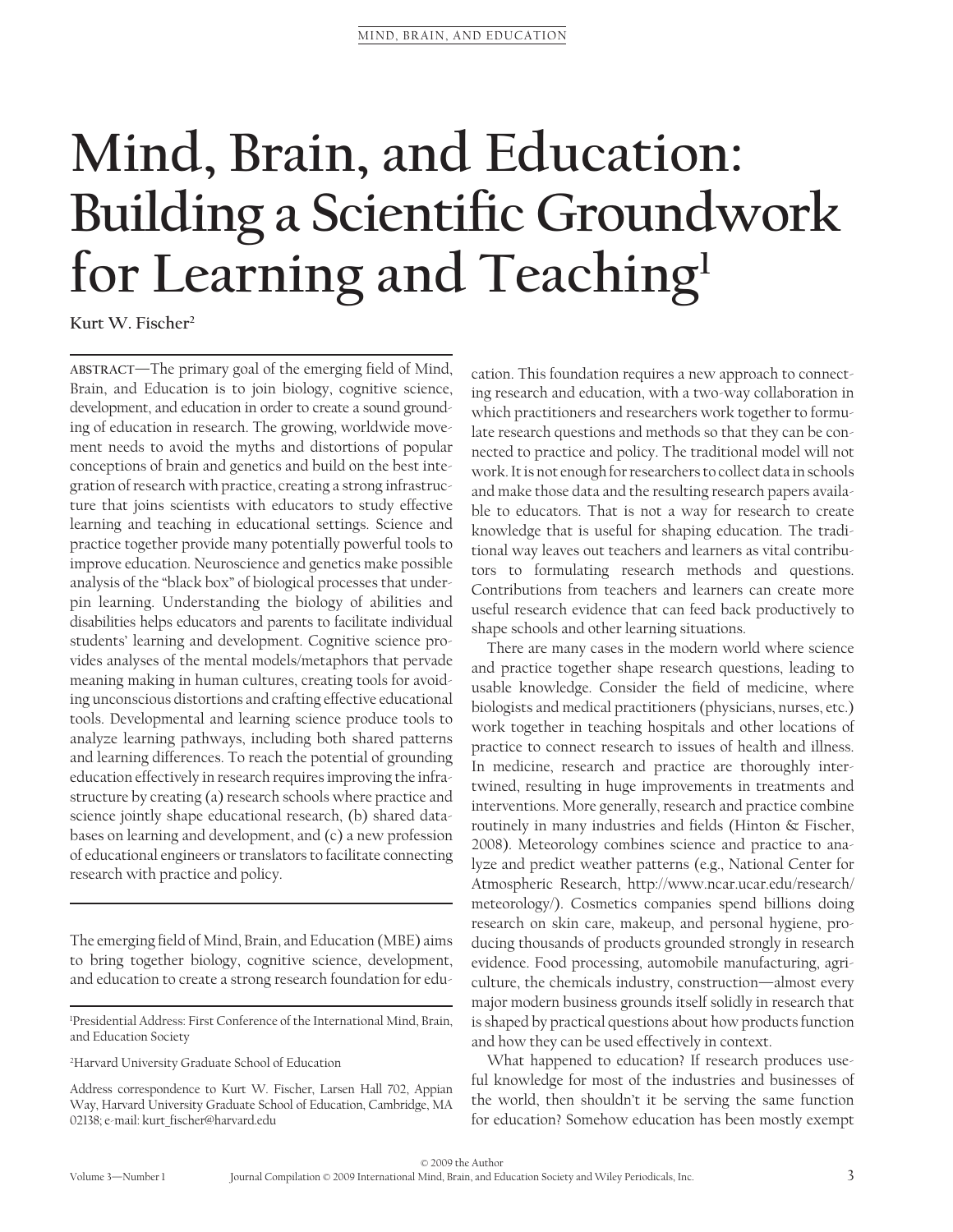# **Mind, Brain, and Education: Building a Scientific Groundwork for Learning and Teaching1**

Kurt W. Fischer<sup>2</sup>

ABSTRACT—The primary goal of the emerging field of Mind, Brain, and Education is to join biology, cognitive science, development, and education in order to create a sound grounding of education in research. The growing, worldwide movement needs to avoid the myths and distortions of popular conceptions of brain and genetics and build on the best integration of research with practice, creating a strong infrastructure that joins scientists with educators to study effective learning and teaching in educational settings. Science and practice together provide many potentially powerful tools to improve education. Neuroscience and genetics make possible analysis of the "black box" of biological processes that underpin learning. Understanding the biology of abilities and disabilities helps educators and parents to facilitate individual students' learning and development. Cognitive science provides analyses of the mental models/metaphors that pervade meaning making in human cultures, creating tools for avoiding unconscious distortions and crafting effective educational tools. Developmental and learning science produce tools to analyze learning pathways, including both shared patterns and learning differences. To reach the potential of grounding education effectively in research requires improving the infrastructure by creating (a) research schools where practice and science jointly shape educational research, (b) shared databases on learning and development, and (c) a new profession of educational engineers or translators to facilitate connecting research with practice and policy.

The emerging field of Mind, Brain, and Education (MBE) aims to bring together biology, cognitive science, development, and education to create a strong research foundation for edu-

<sup>1</sup>Presidential Address: First Conference of the International Mind, Brain, and Education Society

2 Harvard University Graduate School of Education

 Address correspondence to Kurt W. Fischer, Larsen Hall 702, Appian Way, Harvard University Graduate School of Education, Cambridge, MA 02138; e-mail: kurt\_fischer@harvard.edu

cation. This foundation requires a new approach to connecting research and education, with a two-way collaboration in which practitioners and researchers work together to formulate research questions and methods so that they can be connected to practice and policy. The traditional model will not work. It is not enough for researchers to collect data in schools and make those data and the resulting research papers available to educators. That is not a way for research to create knowledge that is useful for shaping education. The traditional way leaves out teachers and learners as vital contributors to formulating research methods and questions. Contributions from teachers and learners can create more useful research evidence that can feed back productively to shape schools and other learning situations.

 There are many cases in the modern world where science and practice together shape research questions, leading to usable knowledge. Consider the field of medicine, where biologists and medical practitioners (physicians, nurses, etc.) work together in teaching hospitals and other locations of practice to connect research to issues of health and illness. In medicine, research and practice are thoroughly intertwined, resulting in huge improvements in treatments and interventions. More generally, research and practice combine routinely in many industries and fields (Hinton  $\&$  Fischer, 2008). Meteorology combines science and practice to analyze and predict weather patterns (e.g., National Center for Atmospheric Research, http://www.ncar.ucar.edu/research/ meteorology/). Cosmetics companies spend billions doing research on skin care, makeup, and personal hygiene, producing thousands of products grounded strongly in research evidence. Food processing, automobile manufacturing, agriculture, the chemicals industry, construction — almost every major modern business grounds itself solidly in research that is shaped by practical questions about how products function and how they can be used effectively in context.

What happened to education? If research produces useful knowledge for most of the industries and businesses of the world, then shouldn't it be serving the same function for education? Somehow education has been mostly exempt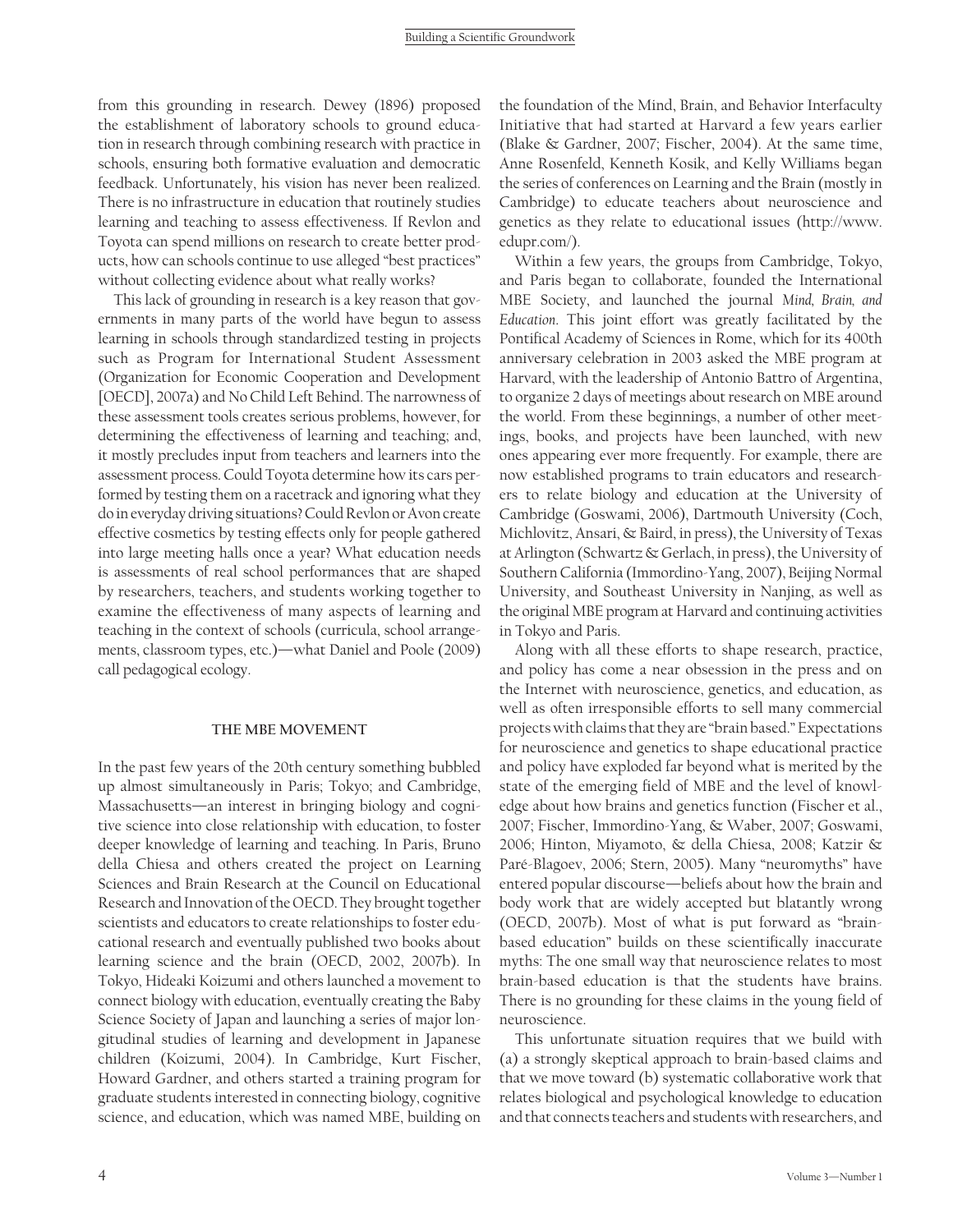from this grounding in research. Dewey (1896) proposed the establishment of laboratory schools to ground education in research through combining research with practice in schools, ensuring both formative evaluation and democratic feedback. Unfortunately, his vision has never been realized. There is no infrastructure in education that routinely studies learning and teaching to assess effectiveness. If Revlon and Toyota can spend millions on research to create better products, how can schools continue to use alleged "best practices" without collecting evidence about what really works?

 This lack of grounding in research is a key reason that governments in many parts of the world have begun to assess learning in schools through standardized testing in projects such as Program for International Student Assessment ( Organization for Economic Cooperation and Development [OECD], 2007a ) and No Child Left Behind. The narrowness of these assessment tools creates serious problems, however, for determining the effectiveness of learning and teaching; and, it mostly precludes input from teachers and learners into the assessment process. Could Toyota determine how its cars performed by testing them on a racetrack and ignoring what they do in everyday driving situations? Could Revlon or Avon create effective cosmetics by testing effects only for people gathered into large meeting halls once a year? What education needs is assessments of real school performances that are shaped by researchers, teachers, and students working together to examine the effectiveness of many aspects of learning and teaching in the context of schools (curricula, school arrangements, classroom types, etc.) — what Daniel and Poole (2009) call pedagogical ecology.

## **THE MBE MOVEMENT**

 In the past few years of the 20th century something bubbled up almost simultaneously in Paris; Tokyo; and Cambridge, Massachusetts—an interest in bringing biology and cognitive science into close relationship with education, to foster deeper knowledge of learning and teaching. In Paris, Bruno della Chiesa and others created the project on Learning Sciences and Brain Research at the Council on Educational Research and Innovation of the OECD. They brought together scientists and educators to create relationships to foster educational research and eventually published two books about learning science and the brain (OECD, 2002, 2007b). In Tokyo, Hideaki Koizumi and others launched a movement to connect biology with education, eventually creating the Baby Science Society of Japan and launching a series of major longitudinal studies of learning and development in Japanese children (Koizumi, 2004). In Cambridge, Kurt Fischer, Howard Gardner, and others started a training program for graduate students interested in connecting biology, cognitive science, and education, which was named MBE, building on

the foundation of the Mind, Brain, and Behavior Interfaculty Initiative that had started at Harvard a few years earlier ( Blake & Gardner, 2007; Fischer, 2004 ). At the same time, Anne Rosenfeld, Kenneth Kosik, and Kelly Williams began the series of conferences on Learning and the Brain (mostly in Cambridge) to educate teachers about neuroscience and genetics as they relate to educational issues ( http://www. edupr.com/).

 Within a few years, the groups from Cambridge, Tokyo, and Paris began to collaborate, founded the International MBE Society, and launched the journal *Mind, Brain, and Education* . This joint effort was greatly facilitated by the Pontifical Academy of Sciences in Rome, which for its 400th anniversary celebration in 2003 asked the MBE program at Harvard, with the leadership of Antonio Battro of Argentina, to organize 2 days of meetings about research on MBE around the world. From these beginnings, a number of other meetings, books, and projects have been launched, with new ones appearing ever more frequently. For example, there are now established programs to train educators and researchers to relate biology and education at the University of Cambridge (Goswami, 2006), Dartmouth University (Coch, Michlovitz, Ansari, & Baird, in press ), the University of Texas at Arlington ( Schwartz & Gerlach, in press ), the University of Southern California ( Immordino-Yang, 2007 ), Beijing Normal University, and Southeast University in Nanjing, as well as the original MBE program at Harvard and continuing activities in Tokyo and Paris.

 Along with all these efforts to shape research, practice, and policy has come a near obsession in the press and on the Internet with neuroscience, genetics, and education, as well as often irresponsible efforts to sell many commercial projects with claims that they are "brain based." Expectations for neuroscience and genetics to shape educational practice and policy have exploded far beyond what is merited by the state of the emerging field of MBE and the level of knowledge about how brains and genetics function (Fischer et al., 2007; Fischer, Immordino-Yang, & Waber, 2007; Goswami, 2006; Hinton, Miyamoto, & della Chiesa, 2008; Katzir & Paré-Blagoev, 2006; Stern, 2005). Many "neuromyths" have entered popular discourse — beliefs about how the brain and body work that are widely accepted but blatantly wrong (OECD, 2007b). Most of what is put forward as "brainbased education" builds on these scientifically inaccurate myths: The one small way that neuroscience relates to most brain-based education is that the students have brains. There is no grounding for these claims in the young field of neuroscience.

 This unfortunate situation requires that we build with (a) a strongly skeptical approach to brain-based claims and that we move toward (b) systematic collaborative work that relates biological and psychological knowledge to education and that connects teachers and students with researchers, and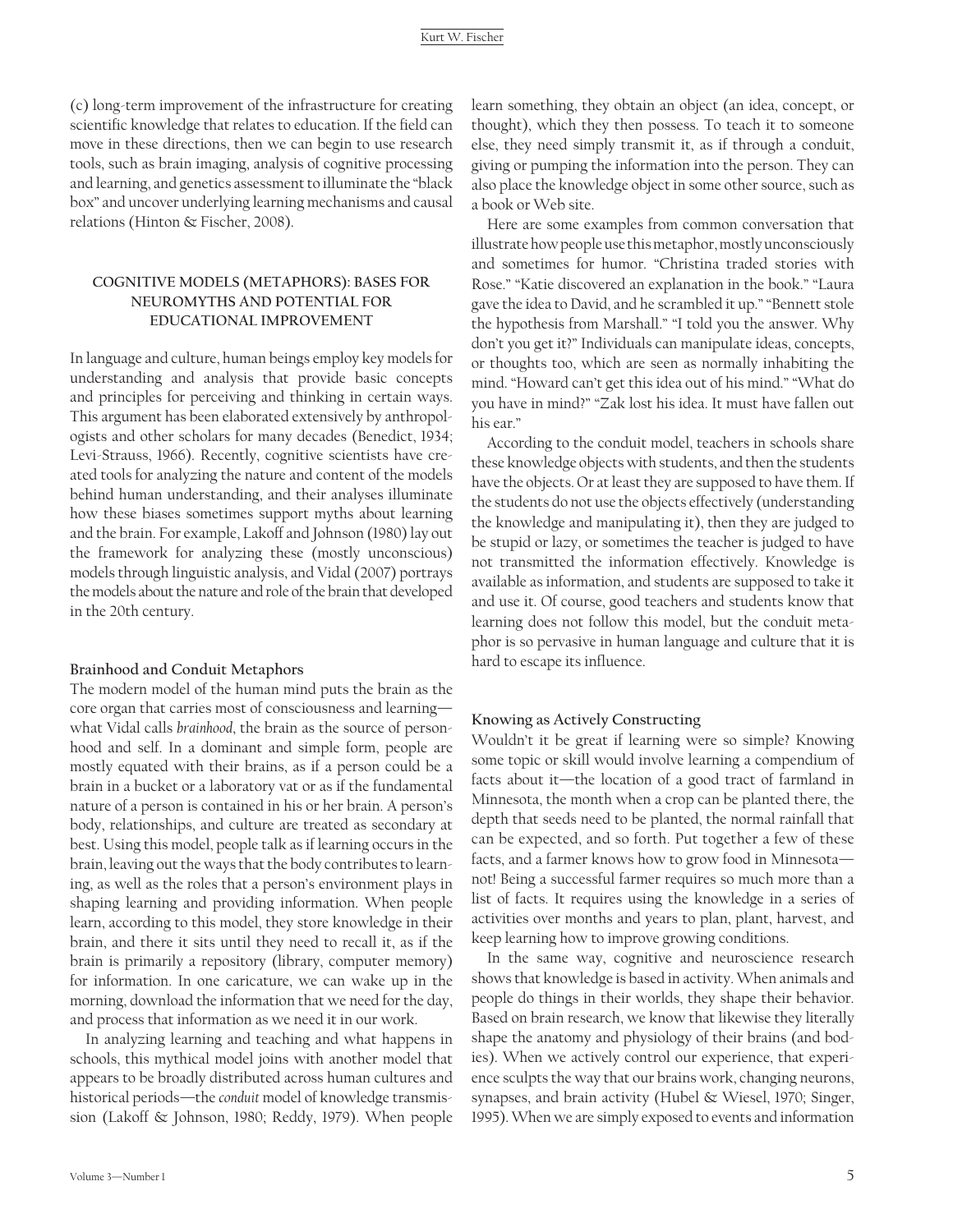## Kurt W. Fischer

(c) long-term improvement of the infrastructure for creating scientific knowledge that relates to education. If the field can move in these directions, then we can begin to use research tools, such as brain imaging, analysis of cognitive processing and learning, and genetics assessment to illuminate the " black box " and uncover underlying learning mechanisms and causal relations (Hinton & Fischer, 2008).

# **COGNITIVE MODELS (METAPHORS): BASES FOR NEUROMYTHS AND POTENTIAL FOR EDUCATIONAL IMPROVEMENT**

 In language and culture, human beings employ key models for understanding and analysis that provide basic concepts and principles for perceiving and thinking in certain ways. This argument has been elaborated extensively by anthropologists and other scholars for many decades ( Benedict, 1934; Levi-Strauss, 1966). Recently, cognitive scientists have created tools for analyzing the nature and content of the models behind human understanding, and their analyses illuminate how these biases sometimes support myths about learning and the brain. For example, Lakoff and Johnson (1980) lay out the framework for analyzing these (mostly unconscious) models through linguistic analysis, and Vidal (2007) portrays the models about the nature and role of the brain that developed in the 20th century.

## **Brainhood and Conduit Metaphors**

 The modern model of the human mind puts the brain as the core organ that carries most of consciousness and learningwhat Vidal calls *brainhood*, the brain as the source of personhood and self. In a dominant and simple form, people are mostly equated with their brains, as if a person could be a brain in a bucket or a laboratory vat or as if the fundamental nature of a person is contained in his or her brain. A person's body, relationships, and culture are treated as secondary at best. Using this model, people talk as if learning occurs in the brain, leaving out the ways that the body contributes to learning, as well as the roles that a person's environment plays in shaping learning and providing information. When people learn, according to this model, they store knowledge in their brain, and there it sits until they need to recall it, as if the brain is primarily a repository (library, computer memory) for information. In one caricature, we can wake up in the morning, download the information that we need for the day, and process that information as we need it in our work.

 In analyzing learning and teaching and what happens in schools, this mythical model joins with another model that appears to be broadly distributed across human cultures and historical periods — the *conduit* model of knowledge transmission (Lakoff & Johnson, 1980; Reddy, 1979). When people

Volume 3—Number 1 5

learn something, they obtain an object (an idea, concept, or thought), which they then possess. To teach it to someone else, they need simply transmit it, as if through a conduit, giving or pumping the information into the person. They can also place the knowledge object in some other source, such as a book or Web site.

 Here are some examples from common conversation that illustrate how people use this metaphor, mostly unconsciously and sometimes for humor. "Christina traded stories with Rose." "Katie discovered an explanation in the book." "Laura gave the idea to David, and he scrambled it up. " " Bennett stole the hypothesis from Marshall." "I told you the answer. Why don't you get it?" Individuals can manipulate ideas, concepts, or thoughts too, which are seen as normally inhabiting the mind. "Howard can't get this idea out of his mind." "What do you have in mind? " " Zak lost his idea. It must have fallen out his ear. "

 According to the conduit model, teachers in schools share these knowledge objects with students, and then the students have the objects. Or at least they are supposed to have them. If the students do not use the objects effectively (understanding the knowledge and manipulating it), then they are judged to be stupid or lazy, or sometimes the teacher is judged to have not transmitted the information effectively. Knowledge is available as information, and students are supposed to take it and use it. Of course, good teachers and students know that learning does not follow this model, but the conduit metaphor is so pervasive in human language and culture that it is hard to escape its influence.

## **Knowing as Actively Constructing**

Wouldn't it be great if learning were so simple? Knowing some topic or skill would involve learning a compendium of facts about it — the location of a good tract of farmland in Minnesota, the month when a crop can be planted there, the depth that seeds need to be planted, the normal rainfall that can be expected, and so forth. Put together a few of these facts, and a farmer knows how to grow food in Minnesota not! Being a successful farmer requires so much more than a list of facts. It requires using the knowledge in a series of activities over months and years to plan, plant, harvest, and keep learning how to improve growing conditions.

 In the same way, cognitive and neuroscience research shows that knowledge is based in activity. When animals and people do things in their worlds, they shape their behavior. Based on brain research, we know that likewise they literally shape the anatomy and physiology of their brains (and bodies). When we actively control our experience, that experience sculpts the way that our brains work, changing neurons, synapses, and brain activity (Hubel & Wiesel, 1970; Singer, 1995). When we are simply exposed to events and information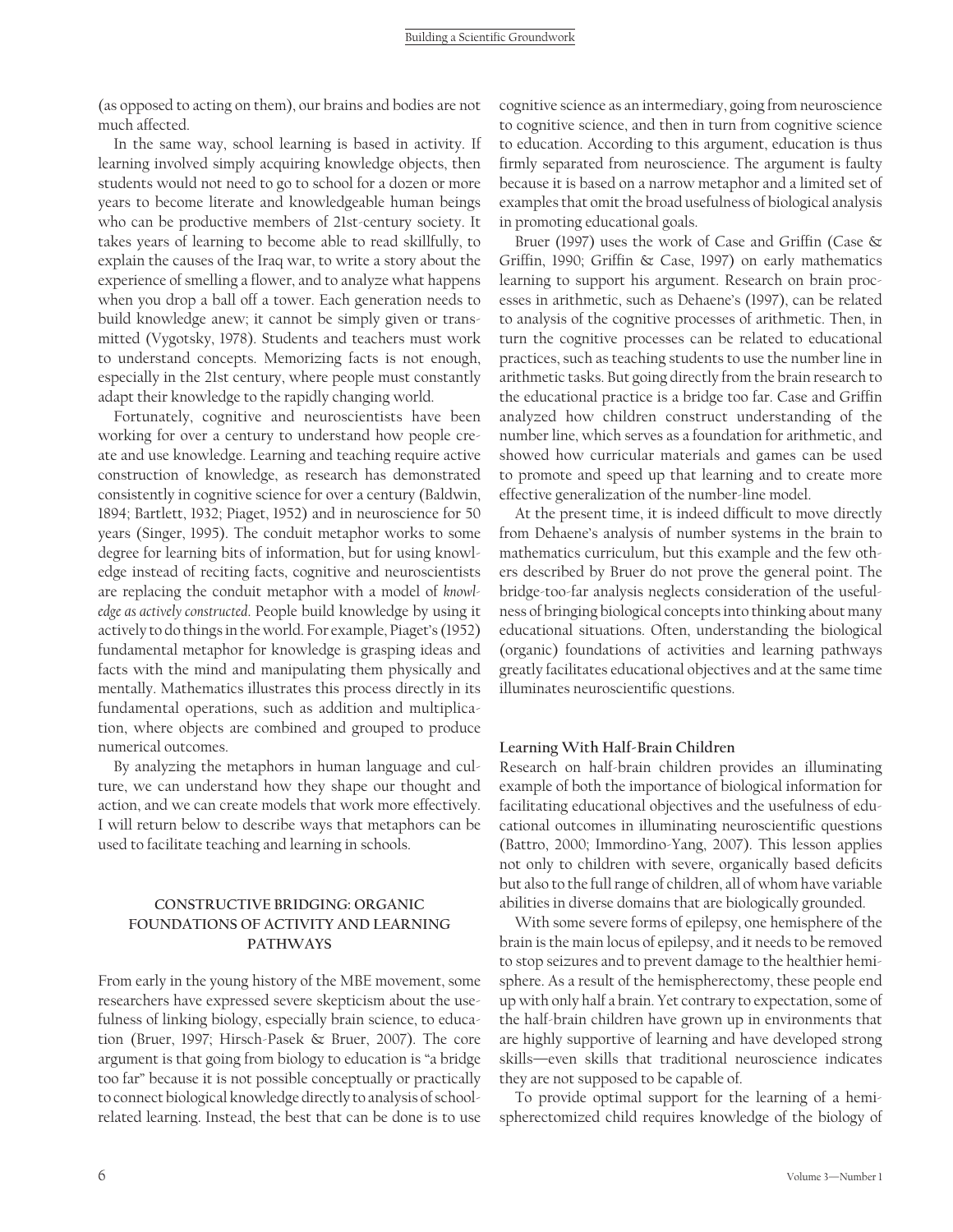(as opposed to acting on them), our brains and bodies are not much affected.

 In the same way, school learning is based in activity. If learning involved simply acquiring knowledge objects, then students would not need to go to school for a dozen or more years to become literate and knowledgeable human beings who can be productive members of 21st-century society. It takes years of learning to become able to read skillfully, to explain the causes of the Iraq war, to write a story about the experience of smelling a flower, and to analyze what happens when you drop a ball off a tower. Each generation needs to build knowledge anew; it cannot be simply given or transmitted (Vygotsky, 1978). Students and teachers must work to understand concepts. Memorizing facts is not enough, especially in the 21st century, where people must constantly adapt their knowledge to the rapidly changing world.

 Fortunately, cognitive and neuroscientists have been working for over a century to understand how people create and use knowledge. Learning and teaching require active construction of knowledge, as research has demonstrated consistently in cognitive science for over a century ( Baldwin, 1894; Bartlett, 1932; Piaget, 1952) and in neuroscience for 50 years (Singer, 1995). The conduit metaphor works to some degree for learning bits of information, but for using knowledge instead of reciting facts, cognitive and neuroscientists are replacing the conduit metaphor with a model of *knowledge as actively constructed* . People build knowledge by using it actively to do things in the world. For example, Piaget's (1952) fundamental metaphor for knowledge is grasping ideas and facts with the mind and manipulating them physically and mentally. Mathematics illustrates this process directly in its fundamental operations, such as addition and multiplication, where objects are combined and grouped to produce numerical outcomes.

 By analyzing the metaphors in human language and culture, we can understand how they shape our thought and action, and we can create models that work more effectively. I will return below to describe ways that metaphors can be used to facilitate teaching and learning in schools.

# **CONSTRUCTIVE BRIDGING: ORGANIC FOUNDATIONS OF ACTIVITY AND LEARNING PATHWAYS**

 From early in the young history of the MBE movement, some researchers have expressed severe skepticism about the usefulness of linking biology, especially brain science, to education (Bruer, 1997; Hirsch-Pasek & Bruer, 2007). The core argument is that going from biology to education is "a bridge too far" because it is not possible conceptually or practically to connect biological knowledge directly to analysis of schoolrelated learning. Instead, the best that can be done is to use

cognitive science as an intermediary, going from neuroscience to cognitive science, and then in turn from cognitive science to education. According to this argument, education is thus firmly separated from neuroscience. The argument is faulty because it is based on a narrow metaphor and a limited set of examples that omit the broad usefulness of biological analysis in promoting educational goals.

Bruer (1997) uses the work of Case and Griffin (Case  $\&$ Griffin, 1990; Griffin & Case, 1997) on early mathematics learning to support his argument. Research on brain processes in arithmetic, such as Dehaene's (1997), can be related to analysis of the cognitive processes of arithmetic. Then, in turn the cognitive processes can be related to educational practices, such as teaching students to use the number line in arithmetic tasks. But going directly from the brain research to the educational practice is a bridge too far. Case and Griffin analyzed how children construct understanding of the number line, which serves as a foundation for arithmetic, and showed how curricular materials and games can be used to promote and speed up that learning and to create more effective generalization of the number-line model.

At the present time, it is indeed difficult to move directly from Dehaene's analysis of number systems in the brain to mathematics curriculum, but this example and the few others described by Bruer do not prove the general point. The bridge-too-far analysis neglects consideration of the usefulness of bringing biological concepts into thinking about many educational situations. Often, understanding the biological (organic) foundations of activities and learning pathways greatly facilitates educational objectives and at the same time illuminates neuroscientific questions.

## **Learning With Half-Brain Children**

 Research on half-brain children provides an illuminating example of both the importance of biological information for facilitating educational objectives and the usefulness of educational outcomes in illuminating neuroscientific questions (Battro, 2000; Immordino-Yang, 2007). This lesson applies not only to children with severe, organically based deficits but also to the full range of children, all of whom have variable abilities in diverse domains that are biologically grounded.

 With some severe forms of epilepsy, one hemisphere of the brain is the main locus of epilepsy, and it needs to be removed to stop seizures and to prevent damage to the healthier hemisphere. As a result of the hemispherectomy, these people end up with only half a brain. Yet contrary to expectation, some of the half-brain children have grown up in environments that are highly supportive of learning and have developed strong skills-even skills that traditional neuroscience indicates they are not supposed to be capable of.

 To provide optimal support for the learning of a hemispherectomized child requires knowledge of the biology of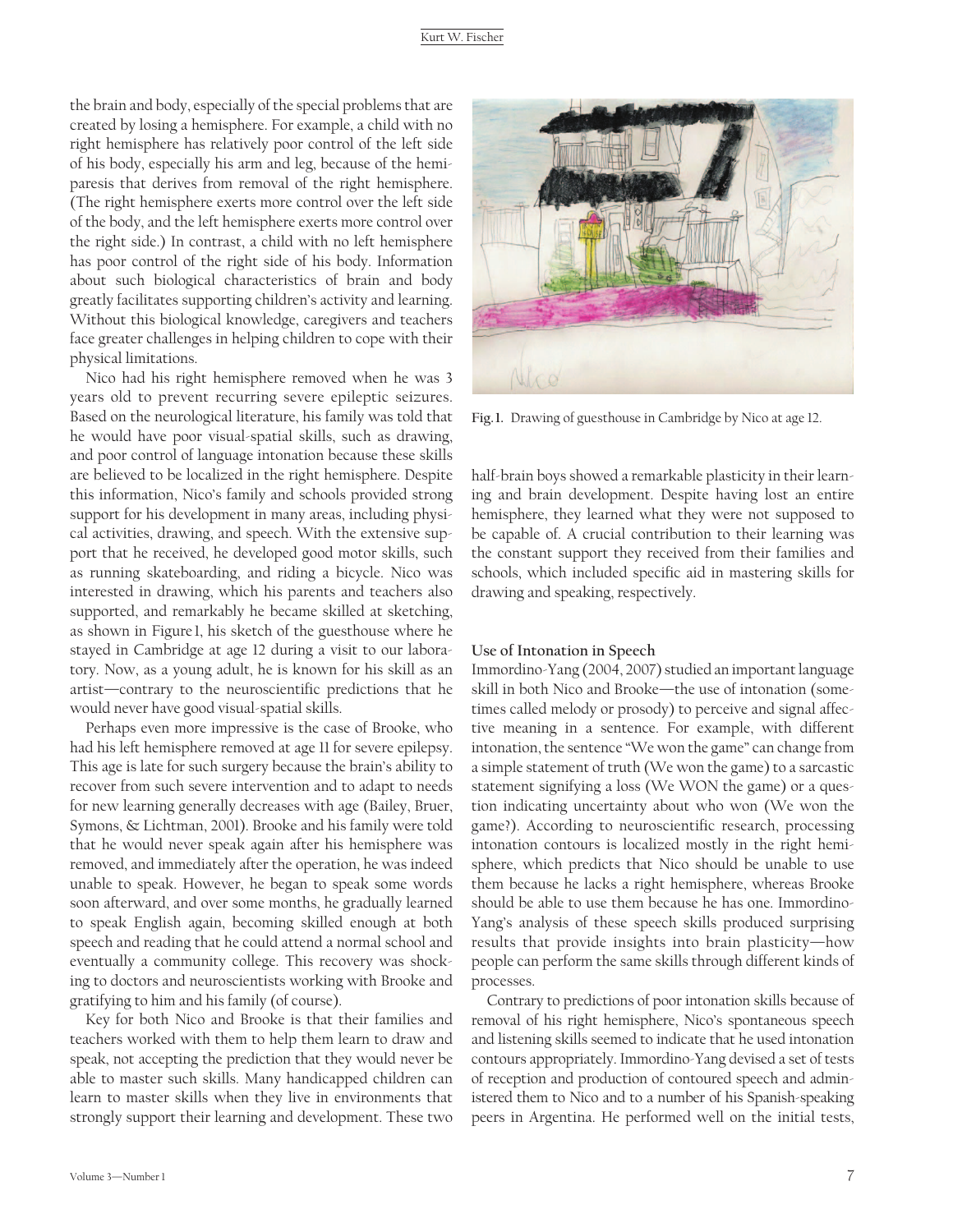the brain and body, especially of the special problems that are created by losing a hemisphere. For example, a child with no right hemisphere has relatively poor control of the left side of his body, especially his arm and leg, because of the hemiparesis that derives from removal of the right hemisphere. (The right hemisphere exerts more control over the left side of the body, and the left hemisphere exerts more control over the right side.) In contrast, a child with no left hemisphere has poor control of the right side of his body. Information about such biological characteristics of brain and body greatly facilitates supporting children's activity and learning. Without this biological knowledge, caregivers and teachers face greater challenges in helping children to cope with their physical limitations.

 Nico had his right hemisphere removed when he was 3 years old to prevent recurring severe epileptic seizures. Based on the neurological literature, his family was told that he would have poor visual-spatial skills, such as drawing, and poor control of language intonation because these skills are believed to be localized in the right hemisphere. Despite this information, Nico's family and schools provided strong support for his development in many areas, including physical activities, drawing, and speech. With the extensive support that he received, he developed good motor skills, such as running skateboarding, and riding a bicycle. Nico was interested in drawing, which his parents and teachers also supported, and remarkably he became skilled at sketching, as shown in Figure 1, his sketch of the guesthouse where he stayed in Cambridge at age 12 during a visit to our laboratory. Now, as a young adult, he is known for his skill as an artist-contrary to the neuroscientific predictions that he would never have good visual-spatial skills.

 Perhaps even more impressive is the case of Brooke, who had his left hemisphere removed at age 11 for severe epilepsy. This age is late for such surgery because the brain's ability to recover from such severe intervention and to adapt to needs for new learning generally decreases with age (Bailey, Bruer, Symons, & Lichtman, 2001). Brooke and his family were told that he would never speak again after his hemisphere was removed, and immediately after the operation, he was indeed unable to speak. However, he began to speak some words soon afterward, and over some months, he gradually learned to speak English again, becoming skilled enough at both speech and reading that he could attend a normal school and eventually a community college. This recovery was shocking to doctors and neuroscientists working with Brooke and gratifying to him and his family (of course).

 Key for both Nico and Brooke is that their families and teachers worked with them to help them learn to draw and speak, not accepting the prediction that they would never be able to master such skills. Many handicapped children can learn to master skills when they live in environments that strongly support their learning and development. These two



 **Fig. 1.** Drawing of guesthouse in Cambridge by Nico at age 12.

half-brain boys showed a remarkable plasticity in their learning and brain development. Despite having lost an entire hemisphere, they learned what they were not supposed to be capable of. A crucial contribution to their learning was the constant support they received from their families and schools, which included specific aid in mastering skills for drawing and speaking, respectively.

## **Use of Intonation in Speech**

 Immordino-Yang (2004, 2007 ) studied an important language skill in both Nico and Brooke—the use of intonation (sometimes called melody or prosody) to perceive and signal affective meaning in a sentence. For example, with different intonation, the sentence "We won the game" can change from a simple statement of truth (We won the game) to a sarcastic statement signifying a loss (We WON the game) or a question indicating uncertainty about who won (We won the game?). According to neuroscientific research, processing intonation contours is localized mostly in the right hemisphere, which predicts that Nico should be unable to use them because he lacks a right hemisphere, whereas Brooke should be able to use them because he has one. Immordino-Yang's analysis of these speech skills produced surprising results that provide insights into brain plasticity-how people can perform the same skills through different kinds of processes.

 Contrary to predictions of poor intonation skills because of removal of his right hemisphere, Nico's spontaneous speech and listening skills seemed to indicate that he used intonation contours appropriately. Immordino-Yang devised a set of tests of reception and production of contoured speech and administered them to Nico and to a number of his Spanish-speaking peers in Argentina. He performed well on the initial tests,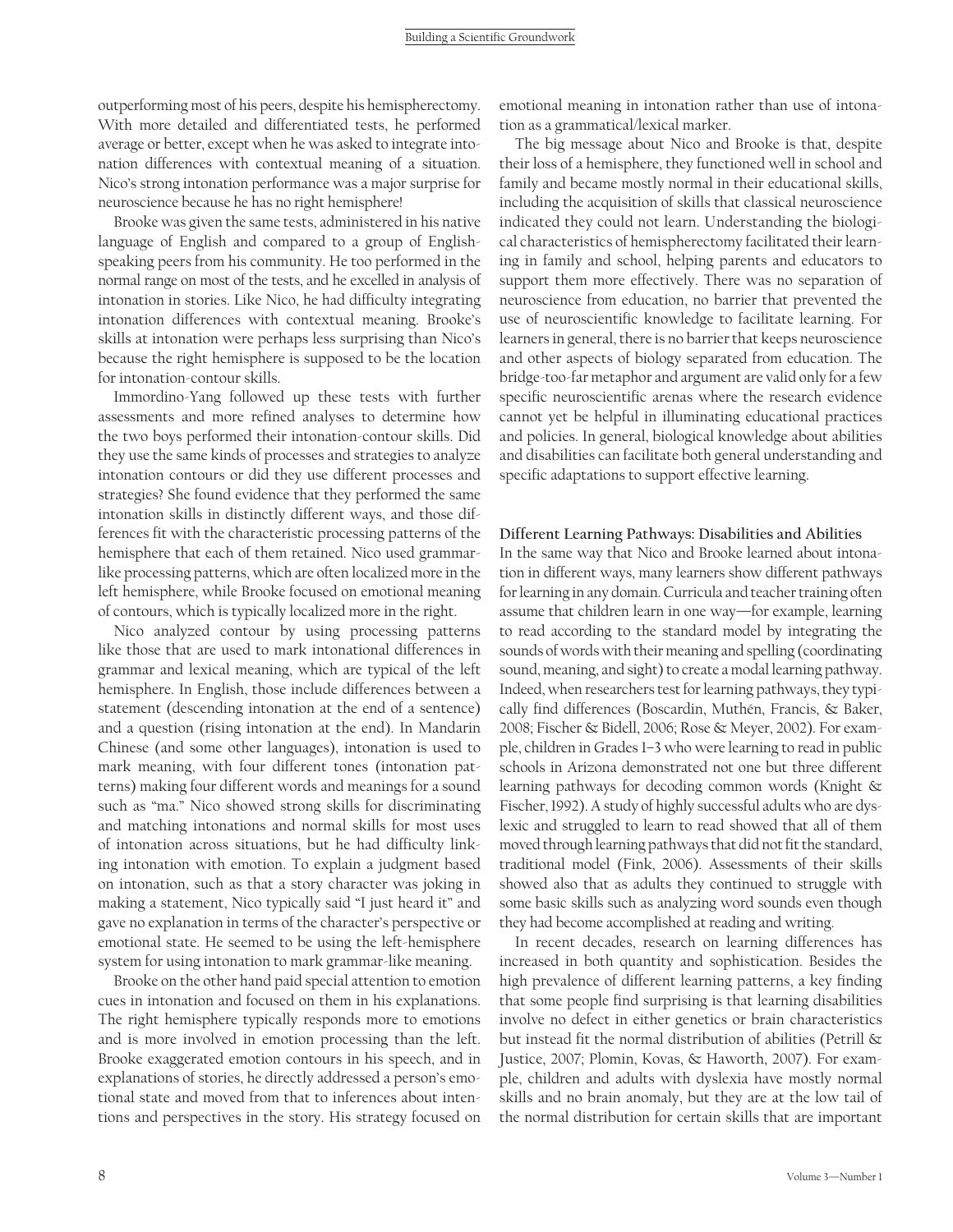outperforming most of his peers, despite his hemispherectomy. With more detailed and differentiated tests, he performed average or better, except when he was asked to integrate intonation differences with contextual meaning of a situation. Nico's strong intonation performance was a major surprise for neuroscience because he has no right hemisphere!

 Brooke was given the same tests, administered in his native language of English and compared to a group of Englishspeaking peers from his community. He too performed in the normal range on most of the tests, and he excelled in analysis of intonation in stories. Like Nico, he had difficulty integrating intonation differences with contextual meaning. Brooke's skills at intonation were perhaps less surprising than Nico's because the right hemisphere is supposed to be the location for intonation-contour skills.

 Immordino-Yang followed up these tests with further assessments and more refined analyses to determine how the two boys performed their intonation-contour skills. Did they use the same kinds of processes and strategies to analyze intonation contours or did they use different processes and strategies? She found evidence that they performed the same intonation skills in distinctly different ways, and those differences fit with the characteristic processing patterns of the hemisphere that each of them retained. Nico used grammarlike processing patterns, which are often localized more in the left hemisphere, while Brooke focused on emotional meaning of contours, which is typically localized more in the right.

 Nico analyzed contour by using processing patterns like those that are used to mark intonational differences in grammar and lexical meaning, which are typical of the left hemisphere. In English, those include differences between a statement (descending intonation at the end of a sentence) and a question (rising intonation at the end). In Mandarin Chinese (and some other languages), intonation is used to mark meaning, with four different tones (intonation patterns) making four different words and meanings for a sound such as "ma." Nico showed strong skills for discriminating and matching intonations and normal skills for most uses of intonation across situations, but he had difficulty linking intonation with emotion. To explain a judgment based on intonation, such as that a story character was joking in making a statement, Nico typically said "I just heard it" and gave no explanation in terms of the character's perspective or emotional state. He seemed to be using the left-hemisphere system for using intonation to mark grammar-like meaning.

 Brooke on the other hand paid special attention to emotion cues in intonation and focused on them in his explanations. The right hemisphere typically responds more to emotions and is more involved in emotion processing than the left. Brooke exaggerated emotion contours in his speech, and in explanations of stories, he directly addressed a person's emotional state and moved from that to inferences about intentions and perspectives in the story. His strategy focused on

emotional meaning in intonation rather than use of intonation as a grammatical/lexical marker.

 The big message about Nico and Brooke is that, despite their loss of a hemisphere, they functioned well in school and family and became mostly normal in their educational skills, including the acquisition of skills that classical neuroscience indicated they could not learn. Understanding the biological characteristics of hemispherectomy facilitated their learning in family and school, helping parents and educators to support them more effectively. There was no separation of neuroscience from education, no barrier that prevented the use of neuroscientific knowledge to facilitate learning. For learners in general, there is no barrier that keeps neuroscience and other aspects of biology separated from education. The bridge-too-far metaphor and argument are valid only for a few specific neuroscientific arenas where the research evidence cannot yet be helpful in illuminating educational practices and policies. In general, biological knowledge about abilities and disabilities can facilitate both general understanding and specific adaptations to support effective learning.

## **Different Learning Pathways: Disabilities and Abilities**

 In the same way that Nico and Brooke learned about intonation in different ways, many learners show different pathways for learning in any domain. Curricula and teacher training often assume that children learn in one way — for example, learning to read according to the standard model by integrating the sounds of words with their meaning and spelling (coordinating sound, meaning, and sight) to create a modal learning pathway. Indeed, when researchers test for learning pathways, they typically find differences (Boscardin, Muthén, Francis, & Baker, 2008; Fischer & Bidell, 2006; Rose & Meyer, 2002 ). For example, children in Grades 1–3 who were learning to read in public schools in Arizona demonstrated not one but three different learning pathways for decoding common words (Knight & Fischer, 1992). A study of highly successful adults who are dyslexic and struggled to learn to read showed that all of them moved through learning pathways that did not fit the standard, traditional model (Fink, 2006). Assessments of their skills showed also that as adults they continued to struggle with some basic skills such as analyzing word sounds even though they had become accomplished at reading and writing.

 In recent decades, research on learning differences has increased in both quantity and sophistication. Besides the high prevalence of different learning patterns, a key finding that some people find surprising is that learning disabilities involve no defect in either genetics or brain characteristics but instead fit the normal distribution of abilities (Petrill  $\&$ Justice, 2007; Plomin, Kovas, & Haworth, 2007 ). For example, children and adults with dyslexia have mostly normal skills and no brain anomaly, but they are at the low tail of the normal distribution for certain skills that are important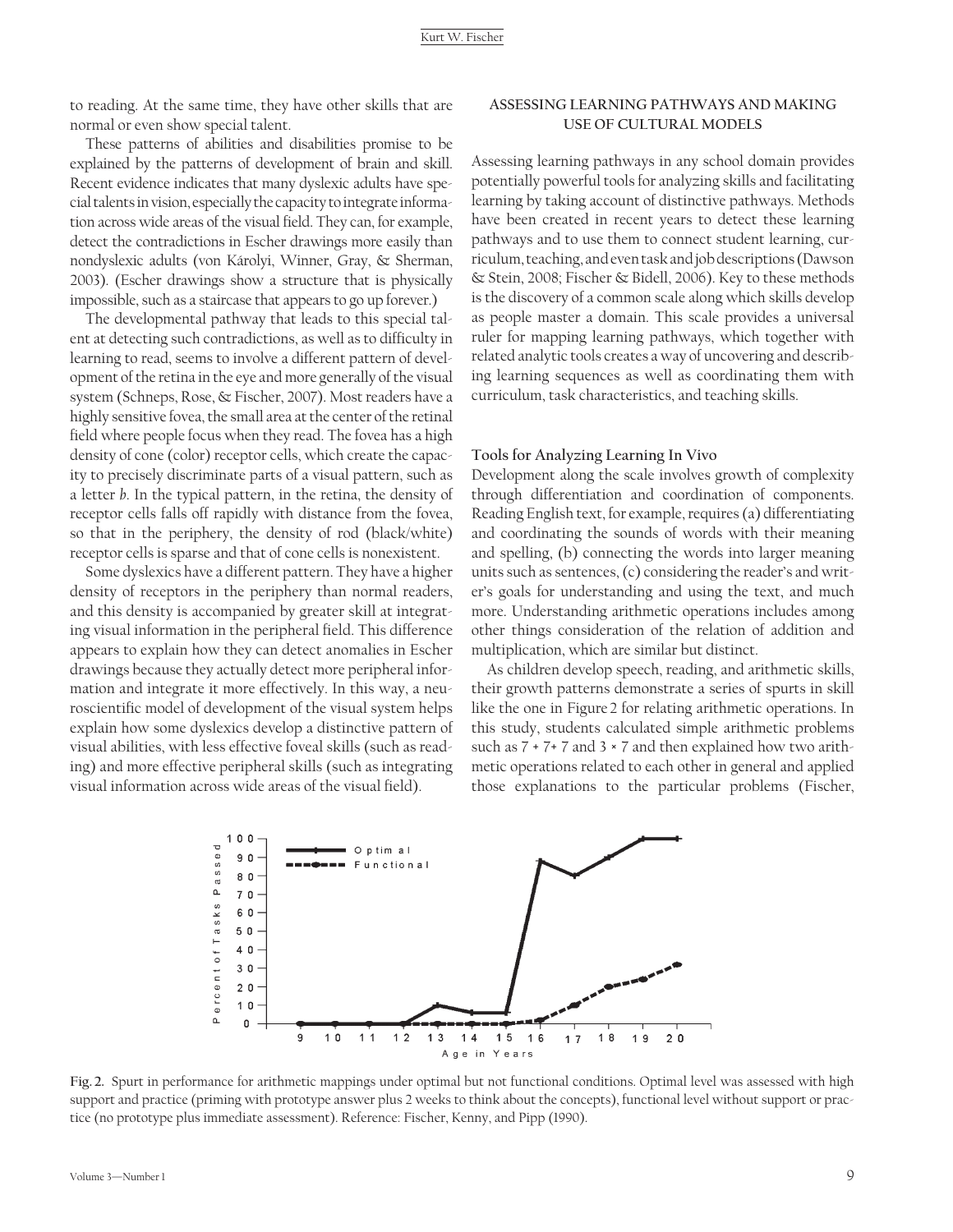to reading. At the same time, they have other skills that are normal or even show special talent.

 These patterns of abilities and disabilities promise to be explained by the patterns of development of brain and skill. Recent evidence indicates that many dyslexic adults have special talents in vision, especially the capacity to integrate information across wide areas of the visual field. They can, for example, detect the contradictions in Escher drawings more easily than nondyslexic adults ( von Károlyi, Winner, Gray, & Sherman, 2003). (Escher drawings show a structure that is physically impossible, such as a staircase that appears to go up forever.)

 The developmental pathway that leads to this special talent at detecting such contradictions, as well as to difficulty in learning to read, seems to involve a different pattern of development of the retina in the eye and more generally of the visual system ( Schneps, Rose, & Fischer, 2007 ). Most readers have a highly sensitive fovea, the small area at the center of the retinal field where people focus when they read. The fovea has a high density of cone (color) receptor cells, which create the capacity to precisely discriminate parts of a visual pattern, such as a letter *b*. In the typical pattern, in the retina, the density of receptor cells falls off rapidly with distance from the fovea, so that in the periphery, the density of rod (black/white) receptor cells is sparse and that of cone cells is nonexistent.

 Some dyslexics have a different pattern. They have a higher density of receptors in the periphery than normal readers, and this density is accompanied by greater skill at integrating visual information in the peripheral field. This difference appears to explain how they can detect anomalies in Escher drawings because they actually detect more peripheral information and integrate it more effectively. In this way, a neuroscientific model of development of the visual system helps explain how some dyslexics develop a distinctive pattern of visual abilities, with less effective foveal skills (such as reading) and more effective peripheral skills (such as integrating visual information across wide areas of the visual field).

# **ASSESSING LEARNING PATHWAYS AND MAKING USE OF CULTURAL MODELS**

 Assessing learning pathways in any school domain provides potentially powerful tools for analyzing skills and facilitating learning by taking account of distinctive pathways. Methods have been created in recent years to detect these learning pathways and to use them to connect student learning, curriculum, teaching, and even task and job descriptions ( Dawson & Stein, 2008; Fischer & Bidell, 2006 ). Key to these methods is the discovery of a common scale along which skills develop as people master a domain. This scale provides a universal ruler for mapping learning pathways, which together with related analytic tools creates a way of uncovering and describing learning sequences as well as coordinating them with curriculum, task characteristics, and teaching skills.

## **Tools for Analyzing Learning In Vivo**

 Development along the scale involves growth of complexity through differentiation and coordination of components. Reading English text, for example, requires (a) differentiating and coordinating the sounds of words with their meaning and spelling, (b) connecting the words into larger meaning units such as sentences, (c) considering the reader's and writer's goals for understanding and using the text, and much more. Understanding arithmetic operations includes among other things consideration of the relation of addition and multiplication, which are similar but distinct.

 As children develop speech, reading, and arithmetic skills, their growth patterns demonstrate a series of spurts in skill like the one in Figure 2 for relating arithmetic operations. In this study, students calculated simple arithmetic problems such as  $7 + 7 + 7$  and  $3 \times 7$  and then explained how two arithmetic operations related to each other in general and applied those explanations to the particular problems (Fischer,



 **Fig. 2.** Spurt in performance for arithmetic mappings under optimal but not functional conditions. Optimal level was assessed with high support and practice (priming with prototype answer plus 2 weeks to think about the concepts), functional level without support or practice (no prototype plus immediate assessment). Reference: Fischer, Kenny, and Pipp (1990).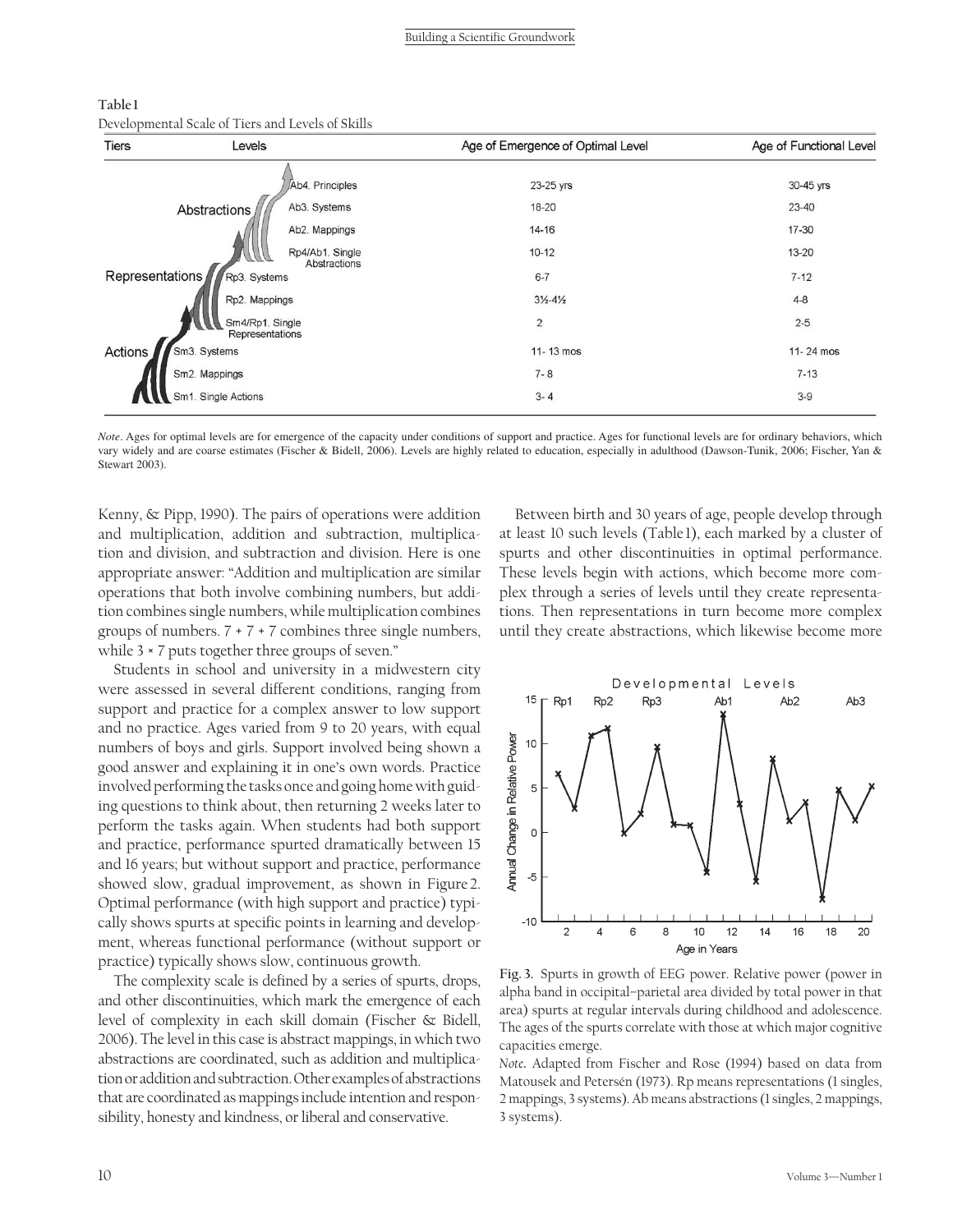| Table 1                                           |
|---------------------------------------------------|
| Developmental Scale of Tiers and Levels of Skills |

| <b>Tiers</b>                                                                           | Levels                          | Age of Emergence of Optimal Level | Age of Functional Level |
|----------------------------------------------------------------------------------------|---------------------------------|-----------------------------------|-------------------------|
| Ab4. Principles                                                                        |                                 | 23-25 yrs                         | 30-45 yrs               |
| Abstractions                                                                           | Ab3. Systems                    | 18-20                             | $23 - 40$               |
|                                                                                        | Ab2. Mappings                   | $14 - 16$                         | $17 - 30$               |
|                                                                                        | Rp4/Ab1. Single<br>Abstractions | $10-12$                           | $13 - 20$               |
| Representations<br>Rp3. Systems<br>Rp2. Mappings<br>Sm4/Rp1. Single<br>Representations |                                 | $6 - 7$                           | $7 - 12$                |
|                                                                                        |                                 | $3\frac{1}{2}-4\frac{1}{2}$       | $4 - 8$                 |
|                                                                                        |                                 | $\overline{\mathbf{c}}$           | $2 - 5$                 |
| Sm3. Systems<br>Actions                                                                |                                 | 11-13 mos                         | 11-24 mos               |
| Sm2. Mappings                                                                          |                                 | $7 - 8$                           | $7 - 13$                |
| Sm1. Single Actions                                                                    |                                 | $3 - 4$                           | $3-9$                   |

*Note* . Ages for optimal levels are for emergence of the capacity under conditions of support and practice. Ages for functional levels are for ordinary behaviors, which vary widely and are coarse estimates (Fischer & Bidell, 2006). Levels are highly related to education, especially in adulthood (Dawson-Tunik, 2006; Fischer, Yan & Stewart 2003).

Kenny, & Pipp, 1990). The pairs of operations were addition and multiplication, addition and subtraction, multiplication and division, and subtraction and division. Here is one appropriate answer: " Addition and multiplication are similar operations that both involve combining numbers, but addition combines single numbers, while multiplication combines groups of numbers.  $7 + 7 + 7$  combines three single numbers, while 3  $\times$  7 puts together three groups of seven."

 Students in school and university in a midwestern city were assessed in several different conditions, ranging from support and practice for a complex answer to low support and no practice. Ages varied from 9 to 20 years, with equal numbers of boys and girls. Support involved being shown a good answer and explaining it in one's own words. Practice involved performing the tasks once and going home with guiding questions to think about, then returning 2 weeks later to perform the tasks again. When students had both support and practice, performance spurted dramatically between 15 and 16 years; but without support and practice, performance showed slow, gradual improvement, as shown in Figure 2. Optimal performance (with high support and practice) typically shows spurts at specific points in learning and development, whereas functional performance (without support or practice) typically shows slow, continuous growth.

The complexity scale is defined by a series of spurts, drops, and other discontinuities, which mark the emergence of each level of complexity in each skill domain (Fischer & Bidell, 2006 ). The level in this case is abstract mappings, in which two abstractions are coordinated, such as addition and multiplication or addition and subtraction. Other examples of abstractions that are coordinated as mappings include intention and responsibility, honesty and kindness, or liberal and conservative.

 Between birth and 30 years of age, people develop through at least 10 such levels (Table 1), each marked by a cluster of spurts and other discontinuities in optimal performance. These levels begin with actions, which become more complex through a series of levels until they create representations. Then representations in turn become more complex until they create abstractions, which likewise become more



 **Fig. 3.** Spurts in growth of EEG power. Relative power (power in alpha band in occipital-parietal area divided by total power in that area) spurts at regular intervals during childhood and adolescence. The ages of the spurts correlate with those at which major cognitive capacities emerge.

*Note* **.** Adapted from Fischer and Rose (1994) based on data from Matousek and Petersén (1973 ). Rp means representations (1 singles, 2 mappings, 3 systems). Ab means abstractions (1 singles, 2 mappings, 3 systems).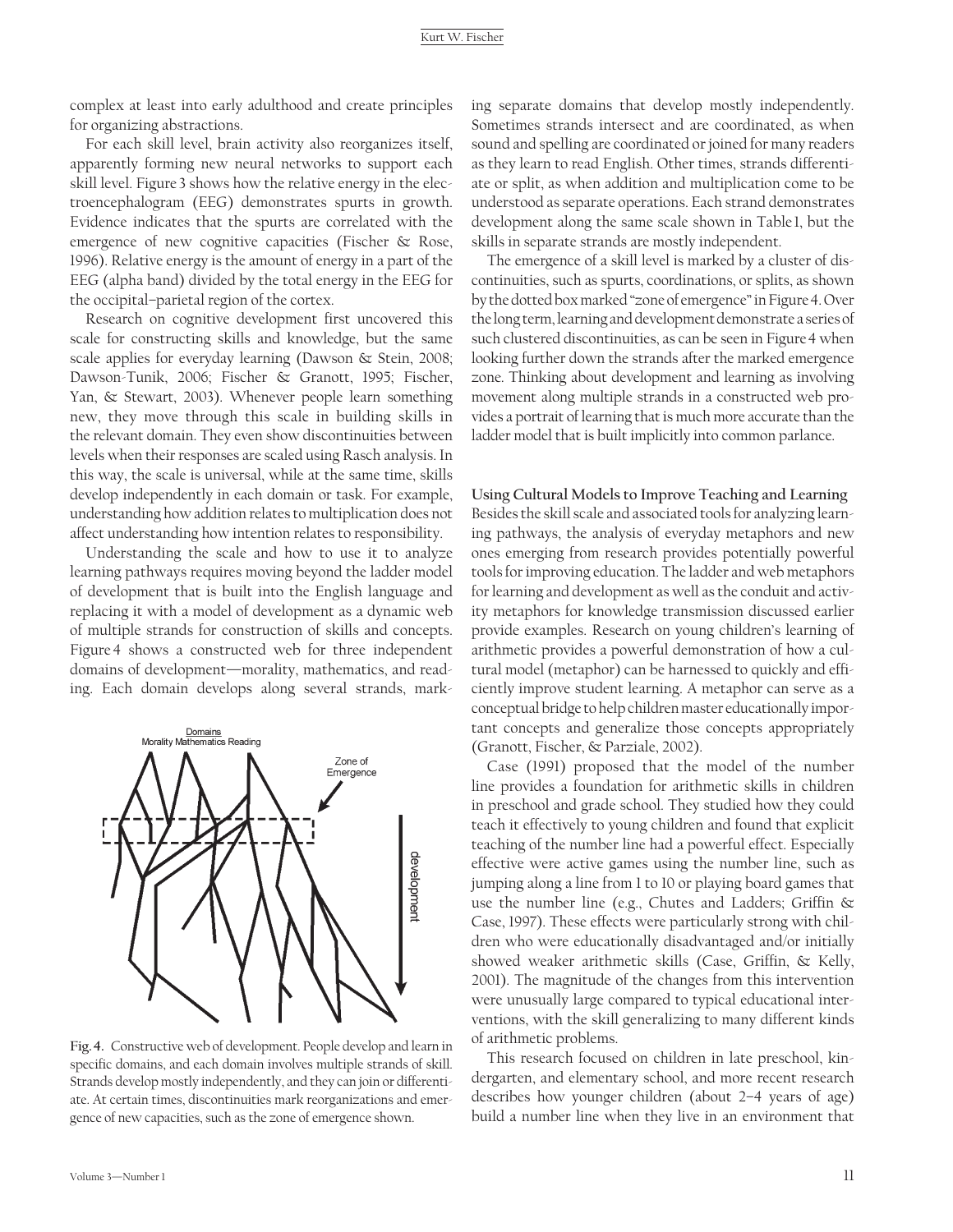complex at least into early adulthood and create principles for organizing abstractions.

 For each skill level, brain activity also reorganizes itself, apparently forming new neural networks to support each skill level. Figure 3 shows how the relative energy in the electroencephalogram (EEG) demonstrates spurts in growth. Evidence indicates that the spurts are correlated with the emergence of new cognitive capacities (Fischer & Rose, 1996 ). Relative energy is the amount of energy in a part of the EEG (alpha band) divided by the total energy in the EEG for the occipital-parietal region of the cortex.

Research on cognitive development first uncovered this scale for constructing skills and knowledge, but the same scale applies for everyday learning (Dawson & Stein, 2008; Dawson-Tunik, 2006; Fischer & Granott, 1995; Fischer, Yan, & Stewart, 2003). Whenever people learn something new, they move through this scale in building skills in the relevant domain. They even show discontinuities between levels when their responses are scaled using Rasch analysis. In this way, the scale is universal, while at the same time, skills develop independently in each domain or task. For example, understanding how addition relates to multiplication does not affect understanding how intention relates to responsibility.

 Understanding the scale and how to use it to analyze learning pathways requires moving beyond the ladder model of development that is built into the English language and replacing it with a model of development as a dynamic web of multiple strands for construction of skills and concepts. Figure 4 shows a constructed web for three independent domains of development — morality, mathematics, and reading. Each domain develops along several strands, mark-



 **Fig. 4.** Constructive web of development. People develop and learn in specific domains, and each domain involves multiple strands of skill. Strands develop mostly independently, and they can join or differentiate. At certain times, discontinuities mark reorganizations and emergence of new capacities, such as the zone of emergence shown.

ing separate domains that develop mostly independently. Sometimes strands intersect and are coordinated, as when sound and spelling are coordinated or joined for many readers as they learn to read English. Other times, strands differentiate or split, as when addition and multiplication come to be understood as separate operations. Each strand demonstrates development along the same scale shown in Table 1, but the skills in separate strands are mostly independent.

 The emergence of a skill level is marked by a cluster of discontinuities, such as spurts, coordinations, or splits, as shown by the dotted box marked "zone of emergence" in Figure 4. Over the long term, learning and development demonstrate a series of such clustered discontinuities, as can be seen in Figure 4 when looking further down the strands after the marked emergence zone. Thinking about development and learning as involving movement along multiple strands in a constructed web provides a portrait of learning that is much more accurate than the ladder model that is built implicitly into common parlance.

## **Using Cultural Models to Improve Teaching and Learning**

 Besides the skill scale and associated tools for analyzing learning pathways, the analysis of everyday metaphors and new ones emerging from research provides potentially powerful tools for improving education. The ladder and web metaphors for learning and development as well as the conduit and activity metaphors for knowledge transmission discussed earlier provide examples. Research on young children's learning of arithmetic provides a powerful demonstration of how a cultural model (metaphor) can be harnessed to quickly and efficiently improve student learning. A metaphor can serve as a conceptual bridge to help children master educationally important concepts and generalize those concepts appropriately ( Granott, Fischer, & Parziale, 2002 ).

Case (1991) proposed that the model of the number line provides a foundation for arithmetic skills in children in preschool and grade school. They studied how they could teach it effectively to young children and found that explicit teaching of the number line had a powerful effect. Especially effective were active games using the number line, such as jumping along a line from 1 to 10 or playing board games that use the number line (e.g., Chutes and Ladders; Griffin  $\&$ Case, 1997). These effects were particularly strong with children who were educationally disadvantaged and/or initially showed weaker arithmetic skills (Case, Griffin, & Kelly, 2001). The magnitude of the changes from this intervention were unusually large compared to typical educational interventions, with the skill generalizing to many different kinds of arithmetic problems.

 This research focused on children in late preschool, kindergarten, and elementary school, and more recent research describes how younger children (about 2-4 years of age) build a number line when they live in an environment that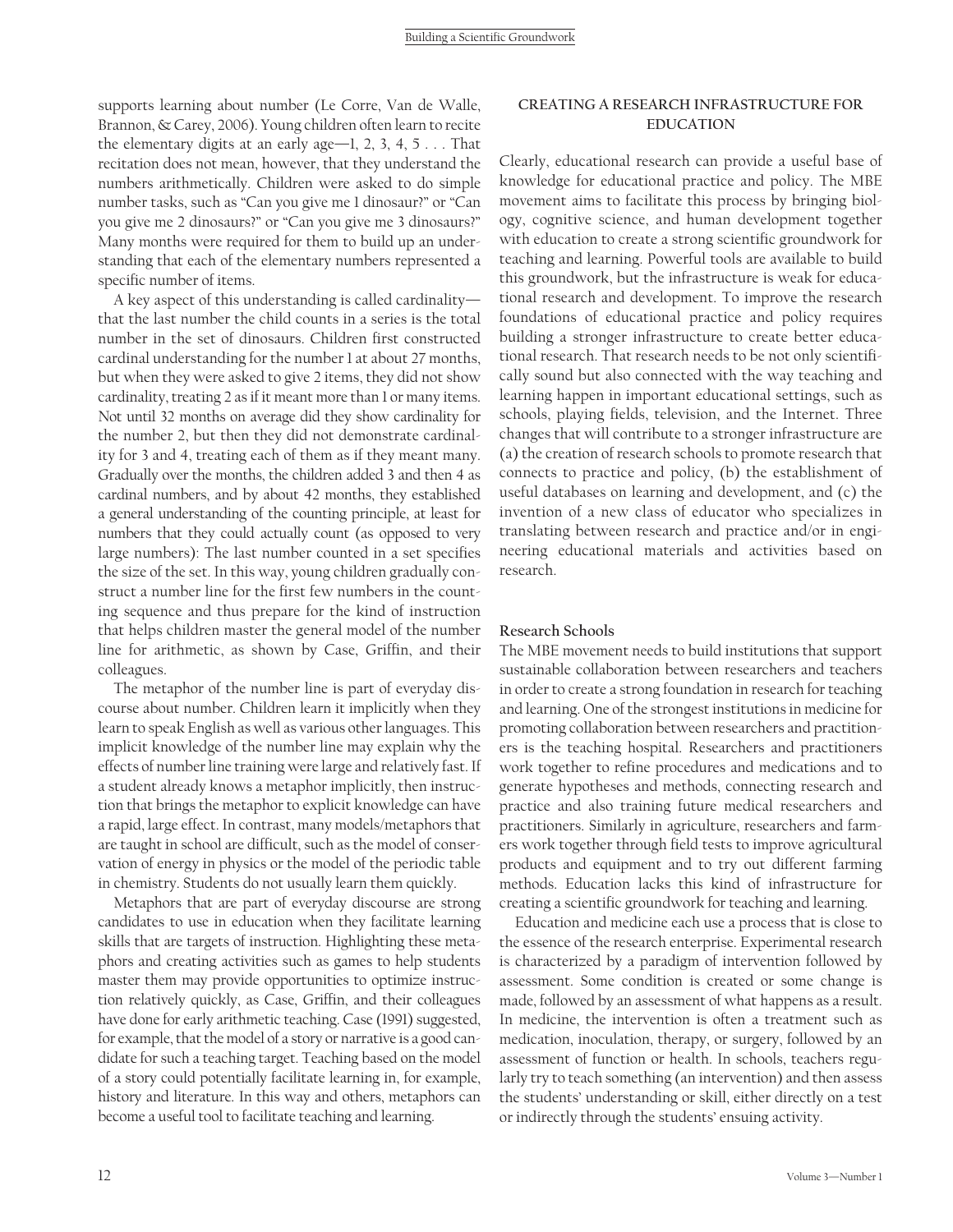supports learning about number (Le Corre, Van de Walle, Brannon, & Carey, 2006 ). Young children often learn to recite the elementary digits at an early age-1, 2, 3, 4, 5... That recitation does not mean, however, that they understand the numbers arithmetically. Children were asked to do simple number tasks, such as "Can you give me 1 dinosaur?" or "Can you give me 2 dinosaurs?" or "Can you give me 3 dinosaurs?" Many months were required for them to build up an understanding that each of the elementary numbers represented a specific number of items.

 A key aspect of this understanding is called cardinality that the last number the child counts in a series is the total number in the set of dinosaurs. Children first constructed cardinal understanding for the number 1 at about 27 months, but when they were asked to give 2 items, they did not show cardinality, treating 2 as if it meant more than 1 or many items. Not until 32 months on average did they show cardinality for the number 2, but then they did not demonstrate cardinality for 3 and 4, treating each of them as if they meant many. Gradually over the months, the children added 3 and then 4 as cardinal numbers, and by about 42 months, they established a general understanding of the counting principle, at least for numbers that they could actually count (as opposed to very large numbers): The last number counted in a set specifies the size of the set. In this way, young children gradually construct a number line for the first few numbers in the counting sequence and thus prepare for the kind of instruction that helps children master the general model of the number line for arithmetic, as shown by Case, Griffin, and their colleagues.

 The metaphor of the number line is part of everyday discourse about number. Children learn it implicitly when they learn to speak English as well as various other languages. This implicit knowledge of the number line may explain why the effects of number line training were large and relatively fast. If a student already knows a metaphor implicitly, then instruction that brings the metaphor to explicit knowledge can have a rapid, large effect. In contrast, many models/metaphors that are taught in school are difficult, such as the model of conservation of energy in physics or the model of the periodic table in chemistry. Students do not usually learn them quickly.

 Metaphors that are part of everyday discourse are strong candidates to use in education when they facilitate learning skills that are targets of instruction. Highlighting these metaphors and creating activities such as games to help students master them may provide opportunities to optimize instruction relatively quickly, as Case, Griffin, and their colleagues have done for early arithmetic teaching. Case (1991) suggested, for example, that the model of a story or narrative is a good candidate for such a teaching target. Teaching based on the model of a story could potentially facilitate learning in, for example, history and literature. In this way and others, metaphors can become a useful tool to facilitate teaching and learning.

# **CREATING A RESEARCH INFRASTRUCTURE FOR EDUCATION**

 Clearly, educational research can provide a useful base of knowledge for educational practice and policy. The MBE movement aims to facilitate this process by bringing biology, cognitive science, and human development together with education to create a strong scientific groundwork for teaching and learning. Powerful tools are available to build this groundwork, but the infrastructure is weak for educational research and development. To improve the research foundations of educational practice and policy requires building a stronger infrastructure to create better educational research. That research needs to be not only scientifi cally sound but also connected with the way teaching and learning happen in important educational settings, such as schools, playing fields, television, and the Internet. Three changes that will contribute to a stronger infrastructure are (a) the creation of research schools to promote research that connects to practice and policy, (b) the establishment of useful databases on learning and development, and (c) the invention of a new class of educator who specializes in translating between research and practice and/or in engineering educational materials and activities based on research.

## **Research Schools**

 The MBE movement needs to build institutions that support sustainable collaboration between researchers and teachers in order to create a strong foundation in research for teaching and learning. One of the strongest institutions in medicine for promoting collaboration between researchers and practitioners is the teaching hospital. Researchers and practitioners work together to refine procedures and medications and to generate hypotheses and methods, connecting research and practice and also training future medical researchers and practitioners. Similarly in agriculture, researchers and farmers work together through field tests to improve agricultural products and equipment and to try out different farming methods. Education lacks this kind of infrastructure for creating a scientific groundwork for teaching and learning.

 Education and medicine each use a process that is close to the essence of the research enterprise. Experimental research is characterized by a paradigm of intervention followed by assessment. Some condition is created or some change is made, followed by an assessment of what happens as a result. In medicine, the intervention is often a treatment such as medication, inoculation, therapy, or surgery, followed by an assessment of function or health. In schools, teachers regularly try to teach something (an intervention) and then assess the students' understanding or skill, either directly on a test or indirectly through the students' ensuing activity.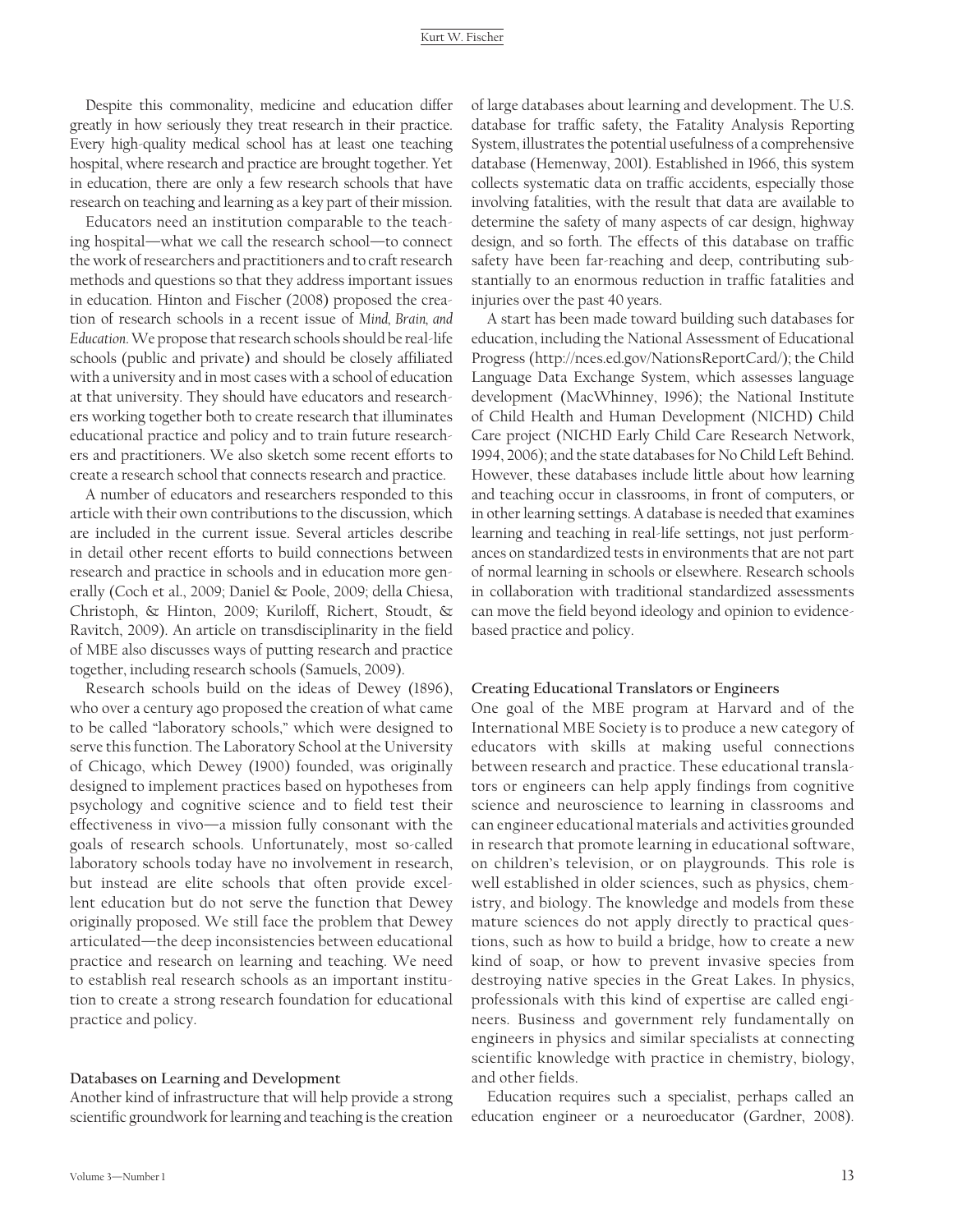Despite this commonality, medicine and education differ greatly in how seriously they treat research in their practice. Every high-quality medical school has at least one teaching hospital, where research and practice are brought together. Yet in education, there are only a few research schools that have research on teaching and learning as a key part of their mission.

 Educators need an institution comparable to the teaching hospital—what we call the research school—to connect the work of researchers and practitioners and to craft research methods and questions so that they address important issues in education. Hinton and Fischer (2008) proposed the creation of research schools in a recent issue of *Mind, Brain, and Education* . We propose that research schools should be real-life schools (public and private) and should be closely affiliated with a university and in most cases with a school of education at that university. They should have educators and researchers working together both to create research that illuminates educational practice and policy and to train future researchers and practitioners. We also sketch some recent efforts to create a research school that connects research and practice.

 A number of educators and researchers responded to this article with their own contributions to the discussion, which are included in the current issue. Several articles describe in detail other recent efforts to build connections between research and practice in schools and in education more generally ( Coch et al., 2009; Daniel & Poole, 2009; della Chiesa, Christoph, & Hinton, 2009; Kuriloff, Richert, Stoudt, & Ravitch, 2009). An article on transdisciplinarity in the field of MBE also discusses ways of putting research and practice together, including research schools ( Samuels, 2009 ).

Research schools build on the ideas of Dewey (1896), who over a century ago proposed the creation of what came to be called "laboratory schools," which were designed to serve this function. The Laboratory School at the University of Chicago, which Dewey (1900) founded, was originally designed to implement practices based on hypotheses from psychology and cognitive science and to field test their effectiveness in vivo-a mission fully consonant with the goals of research schools. Unfortunately, most so-called laboratory schools today have no involvement in research, but instead are elite schools that often provide excellent education but do not serve the function that Dewey originally proposed. We still face the problem that Dewey articulated — the deep inconsistencies between educational practice and research on learning and teaching. We need to establish real research schools as an important institution to create a strong research foundation for educational practice and policy.

#### **Databases on Learning and Development**

 Another kind of infrastructure that will help provide a strong scientific groundwork for learning and teaching is the creation of large databases about learning and development. The U.S. database for traffic safety, the Fatality Analysis Reporting System, illustrates the potential usefulness of a comprehensive database (Hemenway, 2001). Established in 1966, this system collects systematic data on traffic accidents, especially those involving fatalities, with the result that data are available to determine the safety of many aspects of car design, highway design, and so forth. The effects of this database on traffic safety have been far-reaching and deep, contributing substantially to an enormous reduction in traffic fatalities and injuries over the past 40 years.

 A start has been made toward building such databases for education, including the National Assessment of Educational Progress (http://nces.ed.gov/NationsReportCard/); the Child Language Data Exchange System, which assesses language development (MacWhinney, 1996); the National Institute of Child Health and Human Development (NICHD) Child Care project ( NICHD Early Child Care Research Network, 1994, 2006 ); and the state databases for No Child Left Behind. However, these databases include little about how learning and teaching occur in classrooms, in front of computers, or in other learning settings. A database is needed that examines learning and teaching in real-life settings, not just performances on standardized tests in environments that are not part of normal learning in schools or elsewhere. Research schools in collaboration with traditional standardized assessments can move the field beyond ideology and opinion to evidencebased practice and policy.

## **Creating Educational Translators or Engineers**

 One goal of the MBE program at Harvard and of the International MBE Society is to produce a new category of educators with skills at making useful connections between research and practice. These educational translators or engineers can help apply findings from cognitive science and neuroscience to learning in classrooms and can engineer educational materials and activities grounded in research that promote learning in educational software, on children's television, or on playgrounds. This role is well established in older sciences, such as physics, chemistry, and biology. The knowledge and models from these mature sciences do not apply directly to practical questions, such as how to build a bridge, how to create a new kind of soap, or how to prevent invasive species from destroying native species in the Great Lakes. In physics, professionals with this kind of expertise are called engineers. Business and government rely fundamentally on engineers in physics and similar specialists at connecting scientific knowledge with practice in chemistry, biology, and other fields.

 Education requires such a specialist, perhaps called an education engineer or a neuroeducator (Gardner, 2008).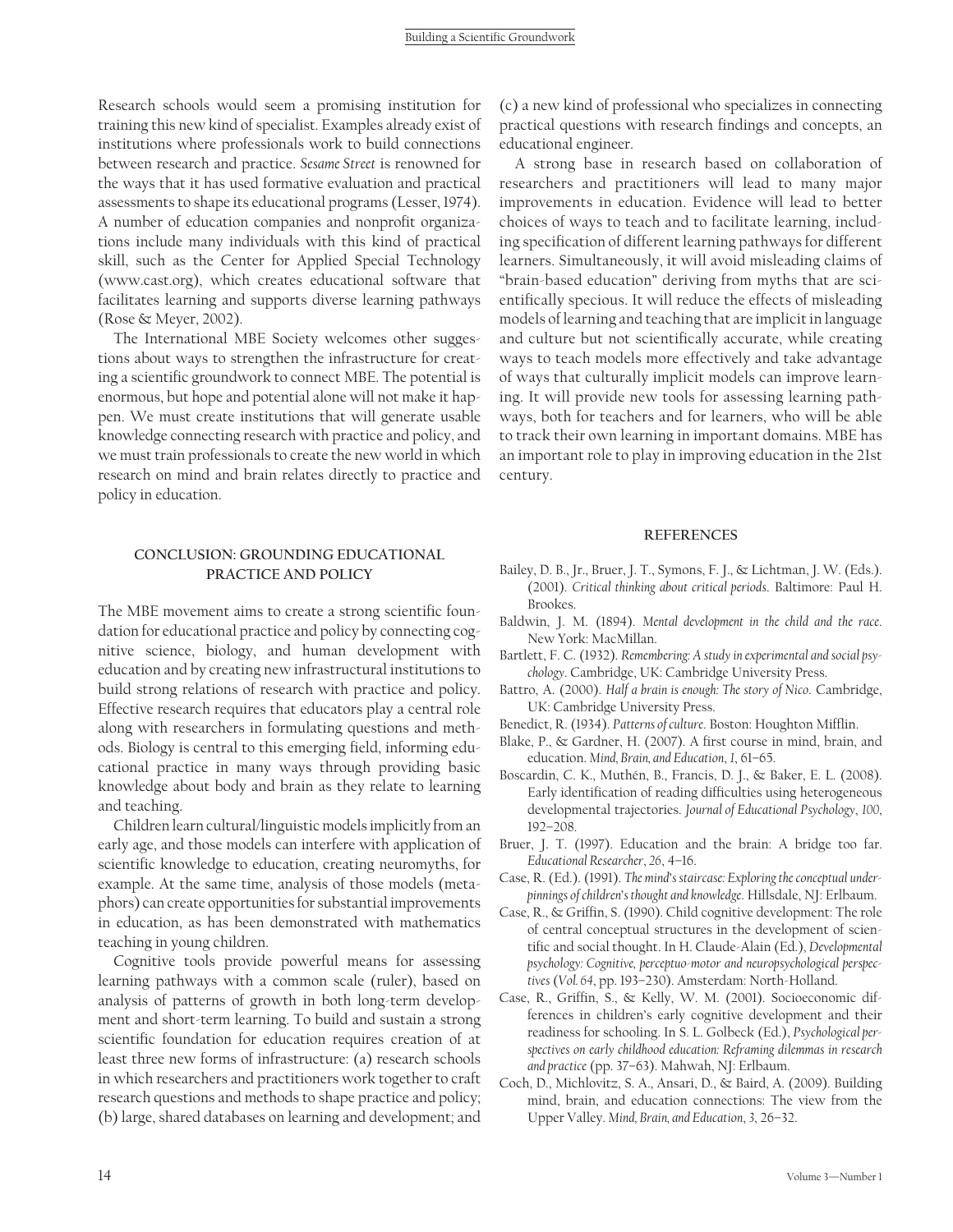Research schools would seem a promising institution for training this new kind of specialist. Examples already exist of institutions where professionals work to build connections between research and practice. *Sesame Street* is renowned for the ways that it has used formative evaluation and practical assessments to shape its educational programs ( Lesser, 1974 ). A number of education companies and nonprofit organizations include many individuals with this kind of practical skill, such as the Center for Applied Special Technology (www.cast.org), which creates educational software that facilitates learning and supports diverse learning pathways ( Rose & Meyer, 2002 ).

 The International MBE Society welcomes other suggestions about ways to strengthen the infrastructure for creating a scientific groundwork to connect MBE. The potential is enormous, but hope and potential alone will not make it happen. We must create institutions that will generate usable knowledge connecting research with practice and policy, and we must train professionals to create the new world in which research on mind and brain relates directly to practice and policy in education.

# **CONCLUSION: GROUNDING EDUCATIONAL PRACTICE AND POLICY**

The MBE movement aims to create a strong scientific foundation for educational practice and policy by connecting cognitive science, biology, and human development with education and by creating new infrastructural institutions to build strong relations of research with practice and policy. Effective research requires that educators play a central role along with researchers in formulating questions and methods. Biology is central to this emerging field, informing educational practice in many ways through providing basic knowledge about body and brain as they relate to learning and teaching.

 Children learn cultural/linguistic models implicitly from an early age, and those models can interfere with application of scientific knowledge to education, creating neuromyths, for example. At the same time, analysis of those models (metaphors) can create opportunities for substantial improvements in education, as has been demonstrated with mathematics teaching in young children.

 Cognitive tools provide powerful means for assessing learning pathways with a common scale (ruler), based on analysis of patterns of growth in both long-term development and short-term learning. To build and sustain a strong scientific foundation for education requires creation of at least three new forms of infrastructure: (a) research schools in which researchers and practitioners work together to craft research questions and methods to shape practice and policy; (b) large, shared databases on learning and development; and

(c) a new kind of professional who specializes in connecting practical questions with research findings and concepts, an educational engineer.

 A strong base in research based on collaboration of researchers and practitioners will lead to many major improvements in education. Evidence will lead to better choices of ways to teach and to facilitate learning, including specification of different learning pathways for different learners. Simultaneously, it will avoid misleading claims of "brain-based education" deriving from myths that are scientifically specious. It will reduce the effects of misleading models of learning and teaching that are implicit in language and culture but not scientifically accurate, while creating ways to teach models more effectively and take advantage of ways that culturally implicit models can improve learning. It will provide new tools for assessing learning pathways, both for teachers and for learners, who will be able to track their own learning in important domains. MBE has an important role to play in improving education in the 21st century.

## **REFERENCES**

- Bailey, D. B., Jr., Bruer, J. T., Symons, F. J., & Lichtman, J. W. (Eds.). (2001). Critical thinking about critical periods. Baltimore: Paul H. Brookes.
- Baldwin, J. M. (1894). Mental development in the child and the race. New York: MacMillan.
- Bartlett, F. C. (1932). Remembering: A study in experimental and social psychology. Cambridge, UK: Cambridge University Press.
- Battro, A. (2000). *Half a brain is enough: The story of Nico*. Cambridge, UK: Cambridge University Press.
- Benedict, R. (1934). Patterns of culture. Boston: Houghton Mifflin.
- Blake, P., & Gardner, H. (2007). A first course in mind, brain, and education. *Mind, Brain, and Education*, 1, 61-65.
- Boscardin, C. K., Muthén, B., Francis, D. J., & Baker, E. L. (2008). Early identification of reading difficulties using heterogeneous developmental trajectories . *Journal of Educational Psychology* , *100* , 192 – 208.
- Bruer, J. T. (1997). Education and the brain: A bridge too far. *Educational Researcher* , *26* , 4 – 16 .
- Case, R. (Ed.). (1991). The mind's staircase: Exploring the conceptual under*pinnings of children* ' *s thought and knowledge* . Hillsdale, NJ : Erlbaum .
- Case, R., & Griffin, S. (1990). Child cognitive development: The role of central conceptual structures in the development of scientific and social thought. In H. Claude-Alain (Ed.), *Developmental psychology: Cognitive, perceptuo-motor and neuropsychological perspec*tives (Vol. 64, pp. 193-230). Amsterdam: North-Holland.
- Case, R., Griffin, S., & Kelly, W. M. (2001). Socioeconomic differences in children's early cognitive development and their readiness for schooling. In S. L. Golbeck (Ed.), *Psychological perspectives on early childhood education: Reframing dilemmas in research*  and practice (pp. 37-63). Mahwah, NJ: Erlbaum.
- Coch, D., Michlovitz, S. A., Ansari, D., & Baird, A. (2009). Building mind, brain, and education connections: The view from the Upper Valley. *Mind, Brain, and Education*, 3, 26-32.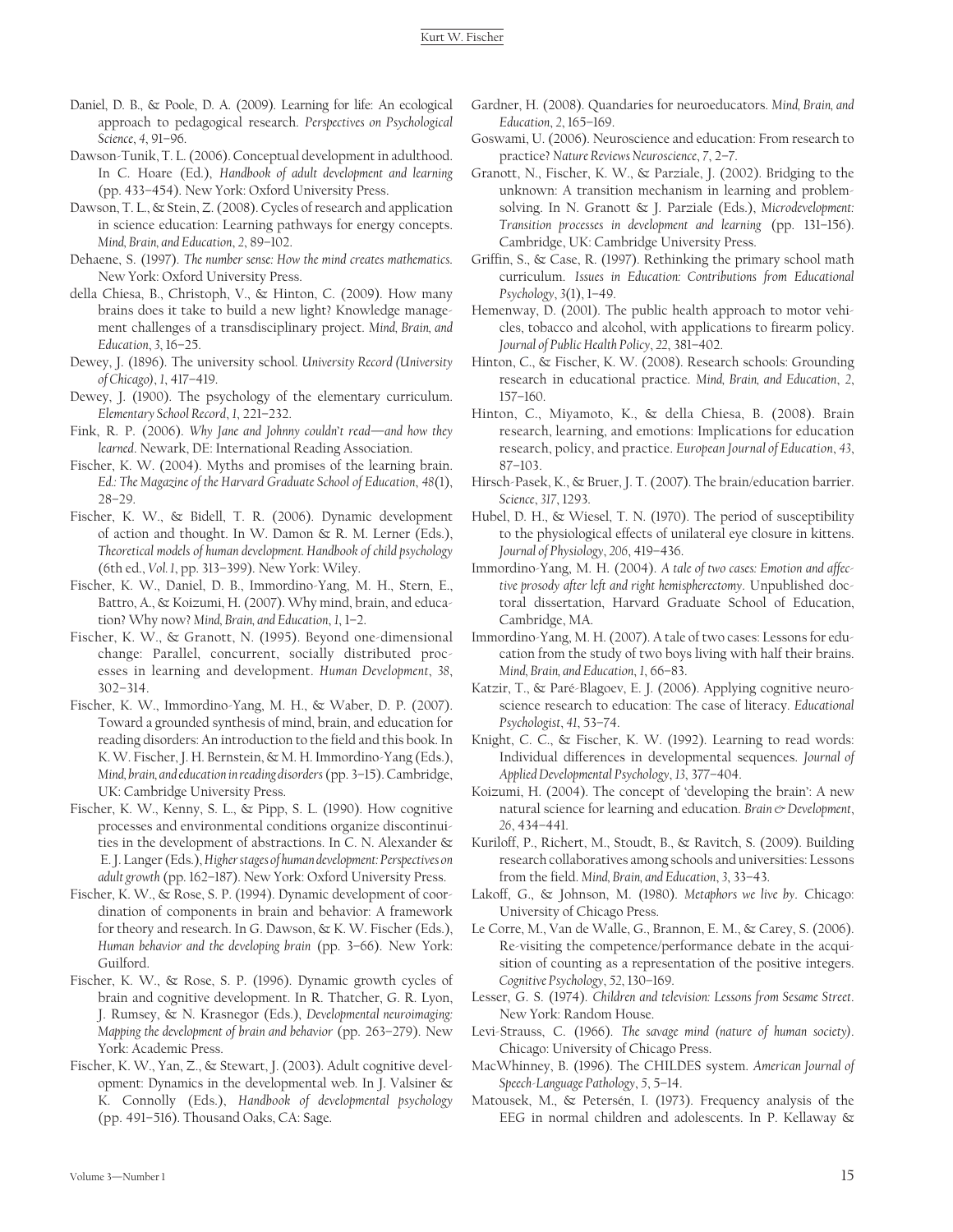- Daniel, D. B., & Poole, D. A. (2009). Learning for life: An ecological approach to pedagogical research . *Perspectives on Psychological Science*, 4, 91-96.
- Dawson-Tunik, T. L. (2006). Conceptual development in adulthood. In C. Hoare (Ed.), *Handbook of adult development and learning* (pp. 433-454). New York: Oxford University Press.
- Dawson, T. L., & Stein, Z. (2008). Cycles of research and application in science education: Learning pathways for energy concepts. *Mind, Brain, and Education* , *2* , 89 – 102 .
- Dehaene, S. (1997). *The number sense: How the mind creates mathematics*. New York: Oxford University Press.
- della Chiesa, B., Christoph, V., & Hinton, C. (2009). How many brains does it take to build a new light? Knowledge management challenges of a transdisciplinary project . *Mind, Brain, and Education*, 3, 16-25.
- Dewey, J. (1896). The university school. *University Record (University of Chicago)* , *1* , 417 – 419 .
- Dewey, J. (1900). The psychology of the elementary curriculum. *Elementary School Record, 1, 221-232.*
- Fink, R. P. (2006). *Why Jane and Johnny couldn't read—and how they learned*. Newark, DE: International Reading Association.
- Fischer, K. W. (2004). Myths and promises of the learning brain. *Ed.: The Magazine of the Harvard Graduate School of Education, 48(1),*  $28 - 29$ .
- Fischer, K. W., & Bidell, T. R. (2006). Dynamic development of action and thought. In W. Damon & R. M. Lerner (Eds.), *Theoretical models of human development. Handbook of child psychology* (6th ed., *Vol. 1*, pp. 313-399). New York: Wiley.
- Fischer, K. W., Daniel, D. B., Immordino-Yang, M. H., Stern, E., Battro, A., & Koizumi, H. (2007). Why mind, brain, and education? Why now? Mind, Brain, and Education, 1, 1-2.
- Fischer, K. W., & Granott, N. (1995). Beyond one-dimensional change: Parallel, concurrent, socially distributed processes in learning and development. *Human Development*, 38,  $302 - 314$ .
- Fischer, K. W., Immordino-Yang, M. H., & Waber, D. P. (2007). Toward a grounded synthesis of mind, brain, and education for reading disorders: An introduction to the field and this book. In K. W. Fischer, J. H. Bernstein, & M. H. Immordino-Yang (Eds.), *Mind, brain, and education in reading disorders* (pp. 3-15). Cambridge, UK: Cambridge University Press.
- Fischer, K. W., Kenny, S. L., & Pipp, S. L. (1990). How cognitive processes and environmental conditions organize discontinuities in the development of abstractions. In C. N. Alexander & E. J. Langer ( Eds .), *Higher stages of human development: Perspectives on adult growth* (pp. 162-187). New York: Oxford University Press.
- Fischer, K. W., & Rose, S. P. (1994). Dynamic development of coordination of components in brain and behavior: A framework for theory and research. In G. Dawson, & K. W. Fischer (Eds.), *Human behavior and the developing brain* (pp. 3-66). New York: Guilford.
- Fischer, K. W., & Rose, S. P. (1996). Dynamic growth cycles of brain and cognitive development. In R. Thatcher, G. R. Lyon, J. Rumsey , & N. Krasnegor ( Eds .), *Developmental neuroimaging: Mapping the development of brain and behavior* (pp. 263-279). New York: Academic Press.
- Fischer, K. W., Yan, Z., & Stewart, J. (2003). Adult cognitive development: Dynamics in the developmental web. In J. Valsiner  $\&$  K. Connolly ( Eds .), *Handbook of developmental psychology* (pp. 491-516). Thousand Oaks, CA: Sage.
- Gardner, H. (2008). Quandaries for neuroeducators. Mind, Brain, and *Education*, 2, 165-169.
- Goswami, U. (2006). Neuroscience and education: From research to practice? *Nature Reviews Neuroscience* , *7* , 2 – 7 .
- Granott, N., Fischer, K. W., & Parziale, J. (2002). Bridging to the unknown: A transition mechanism in learning and problemsolving. In N. Granott & J. Parziale (Eds.), *Microdevelopment: Transition processes in development and learning* (pp. 131–156). Cambridge, UK: Cambridge University Press.
- Griffin, S., & Case, R. (1997). Rethinking the primary school math curriculum . *Issues in Education: Contributions from Educational Psychology*, 3(1), 1–49.
- Hemenway, D. (2001). The public health approach to motor vehicles, tobacco and alcohol, with applications to firearm policy. Journal of Public Health Policy, 22, 381-402.
- Hinton, C., & Fischer, K. W. (2008). Research schools: Grounding research in educational practice. *Mind, Brain, and Education*, 2,  $157 - 160.$
- Hinton, C., Miyamoto, K., & della Chiesa, B. (2008). Brain research, learning, and emotions: Implications for education research, policy, and practice . *European Journal of Education* , *43* ,  $87 - 103$ .
- Hirsch-Pasek, K., & Bruer, J. T. (2007). The brain/education barrier. *Science* , *317* , 1293 .
- Hubel, D. H., & Wiesel, T. N. (1970). The period of susceptibility to the physiological effects of unilateral eye closure in kittens. *Journal of Physiology* , *206* , 419 – 436 .
- Immordino-Yang, M. H. (2004). A tale of two cases: Emotion and affec*tive prosody after left and right hemispherectomy* . Unpublished doctoral dissertation, Harvard Graduate School of Education, Cambridge, MA.
- Immordino-Yang, M. H. (2007). A tale of two cases: Lessons for education from the study of two boys living with half their brains . *Mind, Brain, and Education* , *1* , 66 – 83 .
- Katzir, T., & Paré-Blagoev, E. J. (2006). Applying cognitive neuroscience research to education: The case of literacy . *Educational Psychologist* , *41* , 53 – 74 .
- Knight, C. C., & Fischer, K. W. (1992). Learning to read words: Individual differences in developmental sequences . *Journal of Applied Developmental Psychology* , *13* , 377 – 404 .
- Koizumi, H. (2004). The concept of 'developing the brain': A new natural science for learning and education. *Brain & Development*, *26* , 434 – 441 .
- Kuriloff, P., Richert, M., Stoudt, B., & Ravitch, S. (2009). Building research collaboratives among schools and universities: Lessons from the field. *Mind, Brain, and Education*, 3, 33-43.
- Lakoff, G., & Johnson, M. (1980). *Metaphors we live by*. Chicago: University of Chicago Press .
- Le Corre, M., Van de Walle, G., Brannon, E. M., & Carey, S. (2006). Re-visiting the competence/performance debate in the acquisition of counting as a representation of the positive integers. *Cognitive Psychology* , *52* , 130 – 169 .
- Lesser, G. S. (1974). *Children and television: Lessons from Sesame Street*. New York: Random House.
- Levi-Strauss, C. (1966). The savage mind (nature of human society). Chicago : University of Chicago Press .
- MacWhinney, B. (1996). The CHILDES system. American Journal of *Speech-Language Pathology* , *5* , 5 – 14 .
- Matousek, M., & Petersén, I. (1973). Frequency analysis of the EEG in normal children and adolescents. In P. Kellaway  $\&$